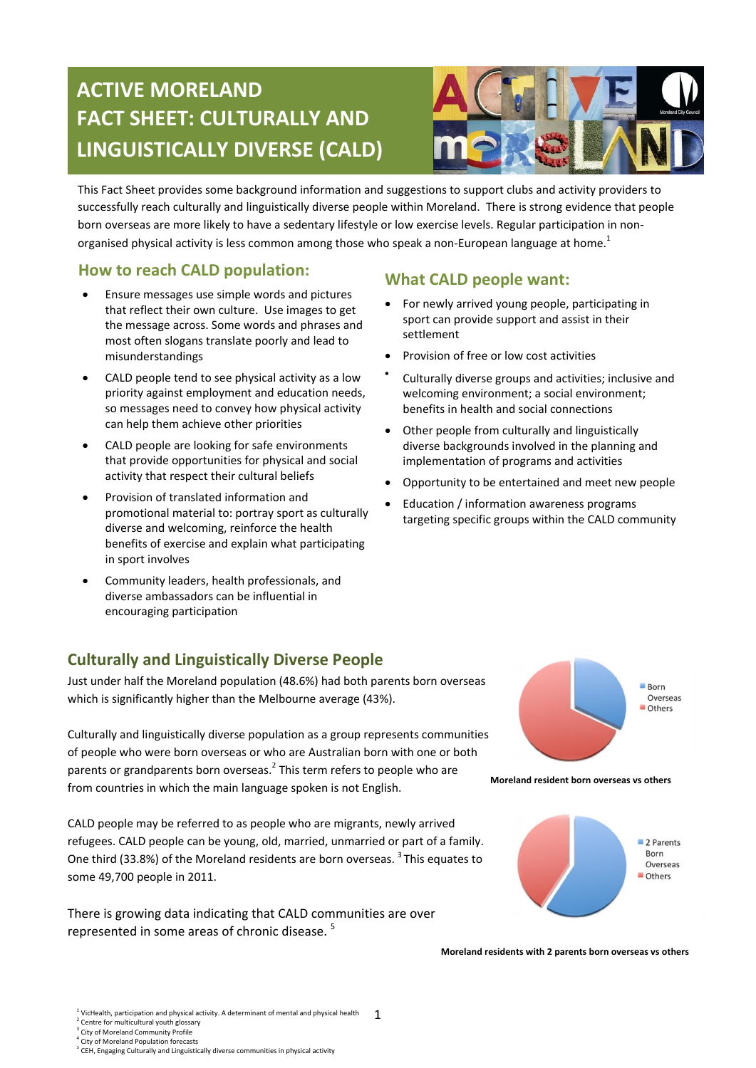# **ACTIVE MORELAND FACT SHEET: CULTURALLY AND LINGUISTICALLY DIVERSE (CALD)**



This Fact Sheet provides some background information and suggestions to support clubs and activity providers to successfully reach culturally and linguistically diverse people within Moreland. There is strong evidence that people born overseas are more likely to have a sedentary lifestyle or low exercise levels. Regular participation in nonorganised physical activity is less common among those who speak a non-European language at home.<sup>1</sup>

#### **How to reach CALD population:**

- Ensure messages use simple words and pictures that reflect their own culture. Use images to get the message across. Some words and phrases and most often slogans translate poorly and lead to misunderstandings
- CALD people tend to see physical activity as a low priority against employment and education needs, so messages need to convey how physical activity can help them achieve other priorities
- CALD people are looking for safe environments that provide opportunities for physical and social activity that respect their cultural beliefs
- Provision of translated information and promotional material to: portray sport as culturally diverse and welcoming, reinforce the health benefits of exercise and explain what participating in sport involves
- Community leaders, health professionals, and diverse ambassadors can be influential in encouraging participation

# **Culturally and Linguistically Diverse People**

Just under half the Moreland population (48.6%) had both parents born overseas which is significantly higher than the Melbourne average (43%).

Culturally and linguistically diverse population as a group represents communities of people who were born overseas or who are Australian born with one or both parents or grandparents born overseas.<sup>2</sup> This term refers to people who are from countries in which the main language spoken is not English.

CALD people may be referred to as people who are migrants, newly arrived refugees. CALD people can be young, old, married, unmarried or part of a family. One third (33.8%) of the Moreland residents are born overseas. <sup>3</sup> This equates to some 49,700 people in 2011.

There is growing data indicating that CALD communities are over represented in some areas of chronic disease.<sup>5</sup>

#### **What CALD people want:**

- For newly arrived young people, participating in sport can provide support and assist in their settlement
- Provision of free or low cost activities
- $\bullet$ Culturally diverse groups and activities; inclusive and welcoming environment; a social environment; benefits in health and social connections
- Other people from culturally and linguistically diverse backgrounds involved in the planning and implementation of programs and activities
- Opportunity to be entertained and meet new people
- Education / information awareness programs targeting specific groups within the CALD community



**Moreland resident born overseas vs others**



**Moreland residents with 2 parents born overseas vs others**

- <sup>3</sup> City of Moreland Community Profile
- 

<sup>4</sup> City of Moreland Population forecasts<br><sup>5</sup> CEH, Engaging Culturally and Linguistically diverse communities in physical activity

<sup>1</sup> 1 VicHealth, participation and physical activity. A determinant of mental and physical health <sup>2</sup> Centre for multicultural youth glossary